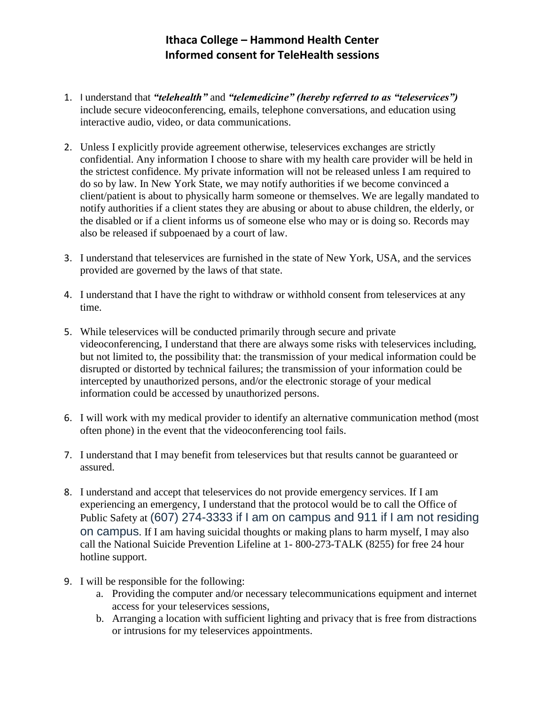## **Ithaca College – Hammond Health Center Informed consent for TeleHealth sessions**

- 1. I understand that *"telehealth"* and *"telemedicine" (hereby referred to as "teleservices")* include secure videoconferencing, emails, telephone conversations, and education using interactive audio, video, or data communications.
- 2. Unless I explicitly provide agreement otherwise, teleservices exchanges are strictly confidential. Any information I choose to share with my health care provider will be held in the strictest confidence. My private information will not be released unless I am required to do so by law. In New York State, we may notify authorities if we become convinced a client/patient is about to physically harm someone or themselves. We are legally mandated to notify authorities if a client states they are abusing or about to abuse children, the elderly, or the disabled or if a client informs us of someone else who may or is doing so. Records may also be released if subpoenaed by a court of law.
- 3. I understand that teleservices are furnished in the state of New York, USA, and the services provided are governed by the laws of that state.
- 4. I understand that I have the right to withdraw or withhold consent from teleservices at any time.
- 5. While teleservices will be conducted primarily through secure and private videoconferencing, I understand that there are always some risks with teleservices including, but not limited to, the possibility that: the transmission of your medical information could be disrupted or distorted by technical failures; the transmission of your information could be intercepted by unauthorized persons, and/or the electronic storage of your medical information could be accessed by unauthorized persons.
- 6. I will work with my medical provider to identify an alternative communication method (most often phone) in the event that the videoconferencing tool fails.
- 7. I understand that I may benefit from teleservices but that results cannot be guaranteed or assured.
- 8. I understand and accept that teleservices do not provide emergency services. If I am experiencing an emergency, I understand that the protocol would be to call the Office of Public Safety at (607) 274-3333 if I am on campus and 911 if I am not residing on campus. If I am having suicidal thoughts or making plans to harm myself, I may also call the National Suicide Prevention Lifeline at 1- 800-273-TALK (8255) for free 24 hour hotline support.
- 9. I will be responsible for the following:
	- a. Providing the computer and/or necessary telecommunications equipment and internet access for your teleservices sessions,
	- b. Arranging a location with sufficient lighting and privacy that is free from distractions or intrusions for my teleservices appointments.